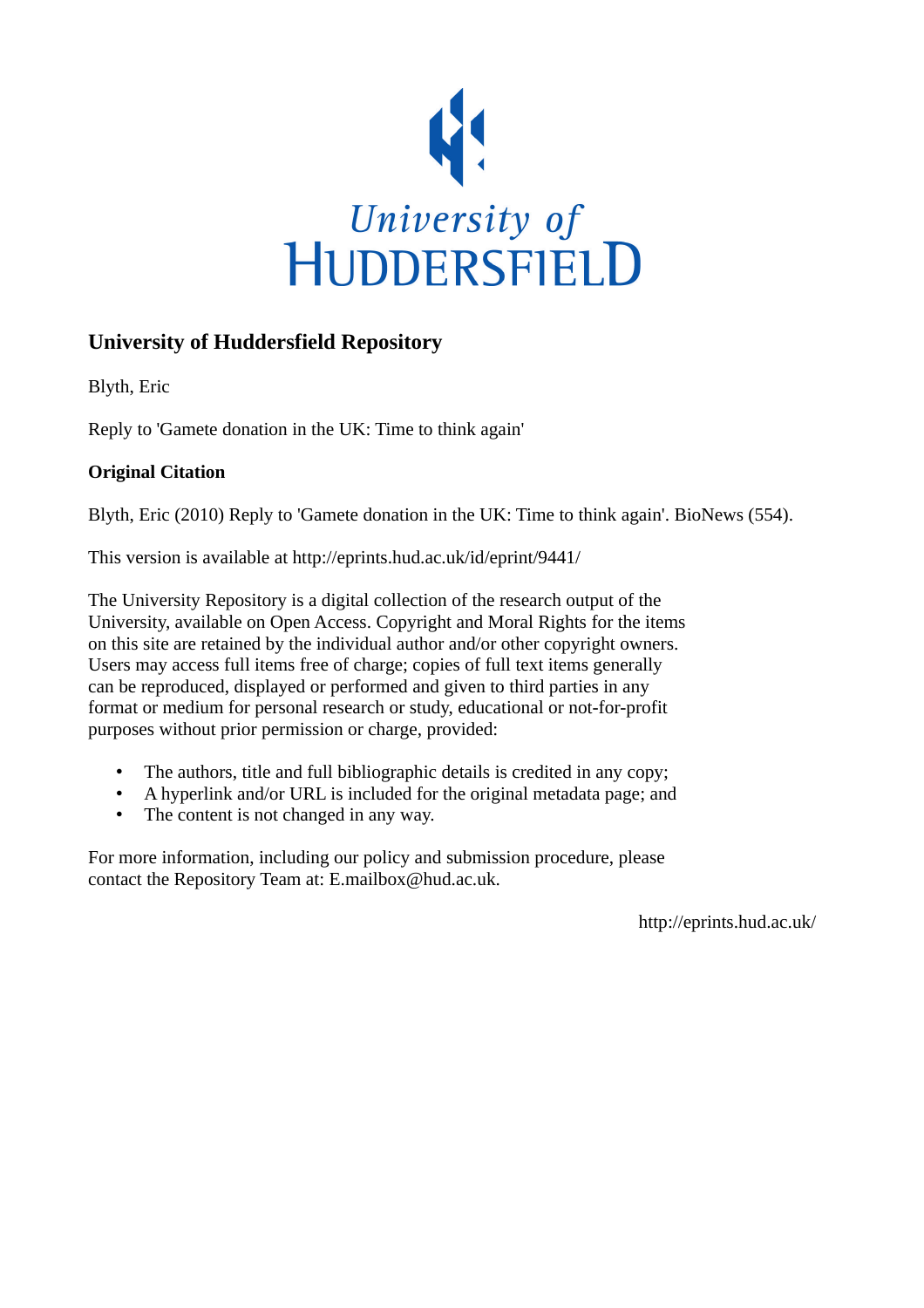

## **University of Huddersfield Repository**

Blyth, Eric

Reply to 'Gamete donation in the UK: Time to think again'

## **Original Citation**

Blyth, Eric (2010) Reply to 'Gamete donation in the UK: Time to think again'. BioNews (554).

This version is available at http://eprints.hud.ac.uk/id/eprint/9441/

The University Repository is a digital collection of the research output of the University, available on Open Access. Copyright and Moral Rights for the items on this site are retained by the individual author and/or other copyright owners. Users may access full items free of charge; copies of full text items generally can be reproduced, displayed or performed and given to third parties in any format or medium for personal research or study, educational or not-for-profit purposes without prior permission or charge, provided:

- The authors, title and full bibliographic details is credited in any copy;
- A hyperlink and/or URL is included for the original metadata page; and
- The content is not changed in any way.

For more information, including our policy and submission procedure, please contact the Repository Team at: E.mailbox@hud.ac.uk.

http://eprints.hud.ac.uk/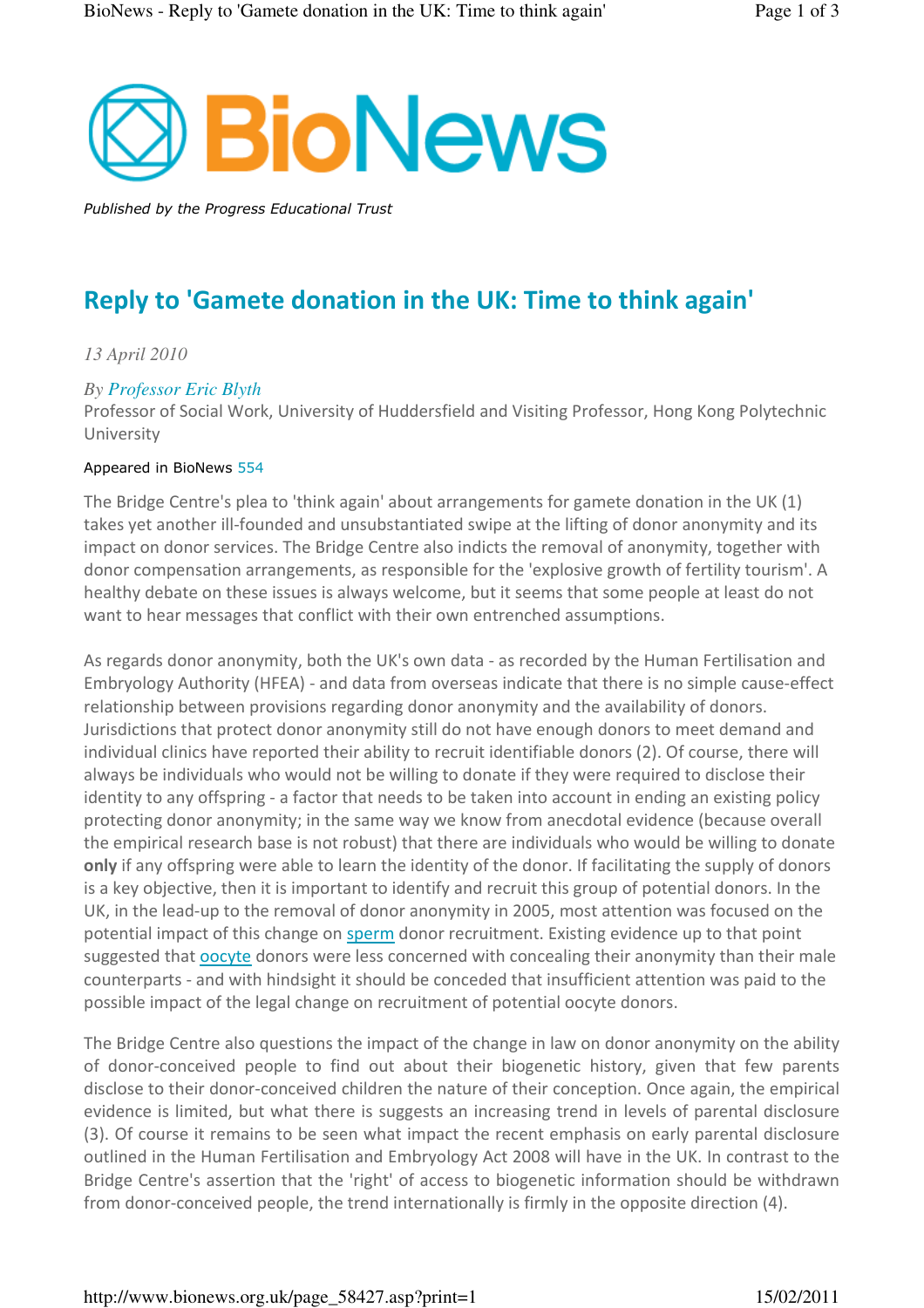

Published by the Progress Educational Trust

# Reply to 'Gamete donation in the UK: Time to think again'

## *13 April 2010*

### *By Professor Eric Blyth*

Professor of Social Work, University of Huddersfield and Visiting Professor, Hong Kong Polytechnic University

#### Appeared in BioNews 554

The Bridge Centre's plea to 'think again' about arrangements for gamete donation in the UK (1) takes yet another ill-founded and unsubstantiated swipe at the lifting of donor anonymity and its impact on donor services. The Bridge Centre also indicts the removal of anonymity, together with donor compensation arrangements, as responsible for the 'explosive growth of fertility tourism'. A healthy debate on these issues is always welcome, but it seems that some people at least do not want to hear messages that conflict with their own entrenched assumptions.

As regards donor anonymity, both the UK's own data - as recorded by the Human Fertilisation and Embryology Authority (HFEA) - and data from overseas indicate that there is no simple cause-effect relationship between provisions regarding donor anonymity and the availability of donors. Jurisdictions that protect donor anonymity still do not have enough donors to meet demand and individual clinics have reported their ability to recruit identifiable donors (2). Of course, there will always be individuals who would not be willing to donate if they were required to disclose their identity to any offspring - a factor that needs to be taken into account in ending an existing policy protecting donor anonymity; in the same way we know from anecdotal evidence (because overall the empirical research base is not robust) that there are individuals who would be willing to donate only if any offspring were able to learn the identity of the donor. If facilitating the supply of donors is a key objective, then it is important to identify and recruit this group of potential donors. In the UK, in the lead-up to the removal of donor anonymity in 2005, most attention was focused on the potential impact of this change on sperm donor recruitment. Existing evidence up to that point suggested that **oocyte** donors were less concerned with concealing their anonymity than their male counterparts - and with hindsight it should be conceded that insufficient attention was paid to the possible impact of the legal change on recruitment of potential oocyte donors.

The Bridge Centre also questions the impact of the change in law on donor anonymity on the ability of donor-conceived people to find out about their biogenetic history, given that few parents disclose to their donor-conceived children the nature of their conception. Once again, the empirical evidence is limited, but what there is suggests an increasing trend in levels of parental disclosure (3). Of course it remains to be seen what impact the recent emphasis on early parental disclosure outlined in the Human Fertilisation and Embryology Act 2008 will have in the UK. In contrast to the Bridge Centre's assertion that the 'right' of access to biogenetic information should be withdrawn from donor-conceived people, the trend internationally is firmly in the opposite direction (4).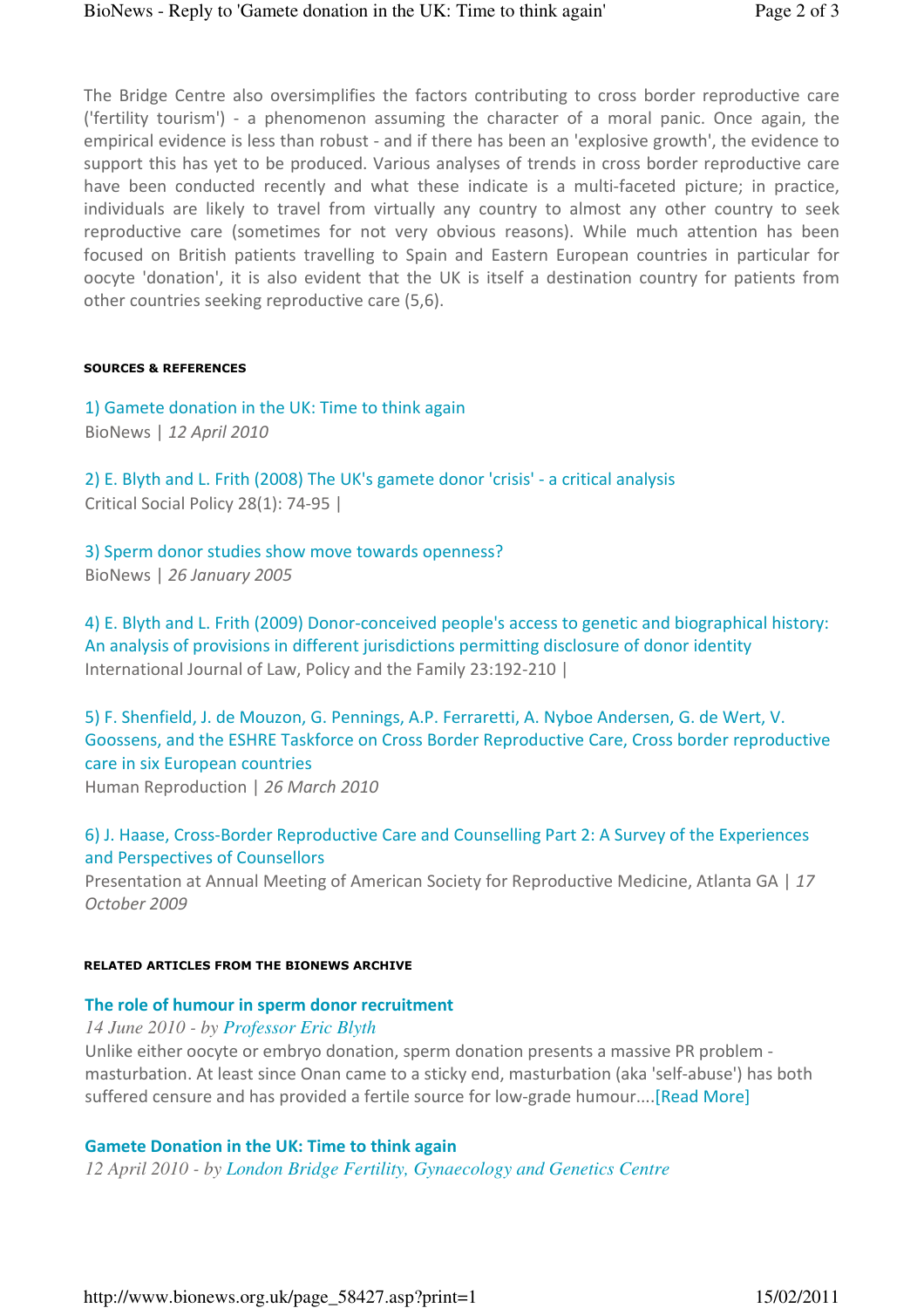The Bridge Centre also oversimplifies the factors contributing to cross border reproductive care ('fertility tourism') - a phenomenon assuming the character of a moral panic. Once again, the empirical evidence is less than robust - and if there has been an 'explosive growth', the evidence to support this has yet to be produced. Various analyses of trends in cross border reproductive care have been conducted recently and what these indicate is a multi-faceted picture; in practice, individuals are likely to travel from virtually any country to almost any other country to seek reproductive care (sometimes for not very obvious reasons). While much attention has been focused on British patients travelling to Spain and Eastern European countries in particular for oocyte 'donation', it is also evident that the UK is itself a destination country for patients from other countries seeking reproductive care (5,6).

#### SOURCES & REFERENCES

1) Gamete donation in the UK: Time to think again BioNews | 12 April 2010

2) E. Blyth and L. Frith (2008) The UK's gamete donor 'crisis' - a critical analysis Critical Social Policy 28(1): 74-95 |

3) Sperm donor studies show move towards openness? BioNews | 26 January 2005

4) E. Blyth and L. Frith (2009) Donor-conceived people's access to genetic and biographical history: An analysis of provisions in different jurisdictions permitting disclosure of donor identity International Journal of Law, Policy and the Family 23:192-210 |

5) F. Shenfield, J. de Mouzon, G. Pennings, A.P. Ferraretti, A. Nyboe Andersen, G. de Wert, V. Goossens, and the ESHRE Taskforce on Cross Border Reproductive Care, Cross border reproductive care in six European countries

Human Reproduction | 26 March 2010

## 6) J. Haase, Cross-Border Reproductive Care and Counselling Part 2: A Survey of the Experiences and Perspectives of Counsellors

Presentation at Annual Meeting of American Society for Reproductive Medicine, Atlanta GA | 17 October 2009

#### RELATED ARTICLES FROM THE BIONEWS ARCHIVE

#### The role of humour in sperm donor recruitment

*14 June 2010 - by Professor Eric Blyth*

Unlike either oocyte or embryo donation, sperm donation presents a massive PR problem masturbation. At least since Onan came to a sticky end, masturbation (aka 'self-abuse') has both suffered censure and has provided a fertile source for low-grade humour....[Read More]

#### Gamete Donation in the UK: Time to think again

*12 April 2010 - by London Bridge Fertility, Gynaecology and Genetics Centre*